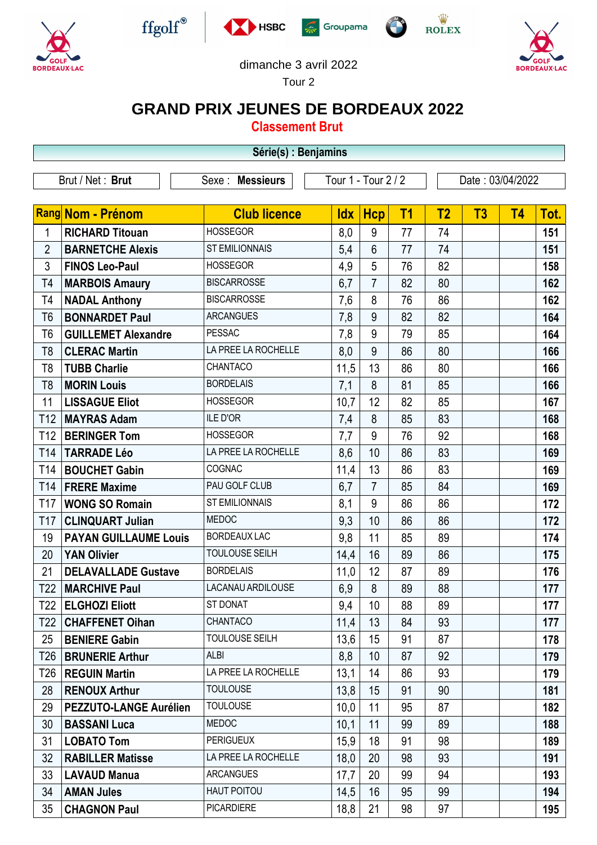











## dimanche 3 avril 2022

Tour 2

## **GRAND PRIX JEUNES DE BORDEAUX 2022**

**Classement Brut**

|                 | Série(s) : Benjamins          |                       |                     |                 |                |                  |                |           |      |  |  |
|-----------------|-------------------------------|-----------------------|---------------------|-----------------|----------------|------------------|----------------|-----------|------|--|--|
|                 | Brut / Net: Brut              | Sexe : Messieurs      | Tour 1 - Tour 2 / 2 |                 |                | Date: 03/04/2022 |                |           |      |  |  |
|                 | Rang Nom - Prénom             | <b>Club licence</b>   | <b>Idx</b>          | <b>Hcp</b>      | T <sub>1</sub> | T <sub>2</sub>   | T <sub>3</sub> | <b>T4</b> | Tot. |  |  |
| 1               | <b>RICHARD Titouan</b>        | <b>HOSSEGOR</b>       | 8,0                 | 9               | 77             | 74               |                |           | 151  |  |  |
| $\overline{2}$  | <b>BARNETCHE Alexis</b>       | <b>ST EMILIONNAIS</b> | 5,4                 | $6\phantom{1}$  | 77             | 74               |                |           | 151  |  |  |
| 3               | <b>FINOS Leo-Paul</b>         | <b>HOSSEGOR</b>       | 4,9                 | 5               | 76             | 82               |                |           | 158  |  |  |
| T4              | <b>MARBOIS Amaury</b>         | <b>BISCARROSSE</b>    | 6,7                 | $\overline{7}$  | 82             | 80               |                |           | 162  |  |  |
| T <sub>4</sub>  | <b>NADAL Anthony</b>          | <b>BISCARROSSE</b>    | 7,6                 | 8               | 76             | 86               |                |           | 162  |  |  |
| T <sub>6</sub>  | <b>BONNARDET Paul</b>         | <b>ARCANGUES</b>      | 7,8                 | 9               | 82             | 82               |                |           | 164  |  |  |
| T <sub>6</sub>  | <b>GUILLEMET Alexandre</b>    | <b>PESSAC</b>         | 7,8                 | 9               | 79             | 85               |                |           | 164  |  |  |
| T <sub>8</sub>  | <b>CLERAC Martin</b>          | LA PREE LA ROCHELLE   | 8,0                 | 9               | 86             | 80               |                |           | 166  |  |  |
| T <sub>8</sub>  | <b>TUBB Charlie</b>           | CHANTACO              | 11,5                | 13              | 86             | 80               |                |           | 166  |  |  |
| T <sub>8</sub>  | <b>MORIN Louis</b>            | <b>BORDELAIS</b>      | 7,1                 | 8               | 81             | 85               |                |           | 166  |  |  |
| 11              | <b>LISSAGUE Eliot</b>         | <b>HOSSEGOR</b>       | 10,7                | 12              | 82             | 85               |                |           | 167  |  |  |
| T <sub>12</sub> | <b>MAYRAS Adam</b>            | <b>ILE D'OR</b>       | 7,4                 | 8               | 85             | 83               |                |           | 168  |  |  |
| T <sub>12</sub> | <b>BERINGER Tom</b>           | <b>HOSSEGOR</b>       | 7,7                 | 9               | 76             | 92               |                |           | 168  |  |  |
| T <sub>14</sub> | <b>TARRADE Léo</b>            | LA PREE LA ROCHELLE   | 8,6                 | 10              | 86             | 83               |                |           | 169  |  |  |
| T14             | <b>BOUCHET Gabin</b>          | COGNAC                | 11,4                | 13              | 86             | 83               |                |           | 169  |  |  |
| T <sub>14</sub> | <b>FRERE Maxime</b>           | PAU GOLF CLUB         | 6,7                 | $\overline{7}$  | 85             | 84               |                |           | 169  |  |  |
| T <sub>17</sub> | <b>WONG SO Romain</b>         | <b>ST EMILIONNAIS</b> | 8,1                 | 9               | 86             | 86               |                |           | 172  |  |  |
| T <sub>17</sub> | <b>CLINQUART Julian</b>       | <b>MEDOC</b>          | 9,3                 | 10              | 86             | 86               |                |           | 172  |  |  |
| 19              | <b>PAYAN GUILLAUME Louis</b>  | <b>BORDEAUX LAC</b>   | 9,8                 | 11              | 85             | 89               |                |           | 174  |  |  |
| 20              | <b>YAN Olivier</b>            | <b>TOULOUSE SEILH</b> | 14,4                | 16              | 89             | 86               |                |           | 175  |  |  |
| 21              | <b>DELAVALLADE Gustave</b>    | <b>BORDELAIS</b>      | 11,0                | 12              | 87             | 89               |                |           | 176  |  |  |
| T <sub>22</sub> | <b>MARCHIVE Paul</b>          | LACANAU ARDILOUSE     | 6,9                 | 8               | 89             | 88               |                |           | 177  |  |  |
| T22             | <b>ELGHOZI Eliott</b>         | ST DONAT              | 9,4                 | 10 <sup>°</sup> | 88             | 89               |                |           | 177  |  |  |
| T22             | <b>CHAFFENET Oihan</b>        | CHANTACO              | 11,4                | 13              | 84             | 93               |                |           | 177  |  |  |
| 25              | <b>BENIERE Gabin</b>          | TOULOUSE SEILH        | 13,6                | 15              | 91             | 87               |                |           | 178  |  |  |
| T26             | <b>BRUNERIE Arthur</b>        | ALBI                  | 8,8                 | 10              | 87             | 92               |                |           | 179  |  |  |
| T26             | <b>REGUIN Martin</b>          | LA PREE LA ROCHELLE   | 13,1                | 14              | 86             | 93               |                |           | 179  |  |  |
| 28              | <b>RENOUX Arthur</b>          | <b>TOULOUSE</b>       | 13,8                | 15              | 91             | 90               |                |           | 181  |  |  |
| 29              | <b>PEZZUTO-LANGE Aurélien</b> | <b>TOULOUSE</b>       | 10,0                | 11              | 95             | 87               |                |           | 182  |  |  |
| 30              | <b>BASSANI Luca</b>           | <b>MEDOC</b>          | 10,1                | 11              | 99             | 89               |                |           | 188  |  |  |
| 31              | <b>LOBATO Tom</b>             | <b>PERIGUEUX</b>      | 15,9                | 18              | 91             | 98               |                |           | 189  |  |  |
| 32              | <b>RABILLER Matisse</b>       | LA PREE LA ROCHELLE   | 18,0                | 20              | 98             | 93               |                |           | 191  |  |  |
| 33              | <b>LAVAUD Manua</b>           | <b>ARCANGUES</b>      | 17,7                | 20              | 99             | 94               |                |           | 193  |  |  |
| 34              | <b>AMAN Jules</b>             | HAUT POITOU           | 14,5                | 16              | 95             | 99               |                |           | 194  |  |  |
| 35              | <b>CHAGNON Paul</b>           | <b>PICARDIERE</b>     | 18,8                | 21              | 98             | 97               |                |           | 195  |  |  |